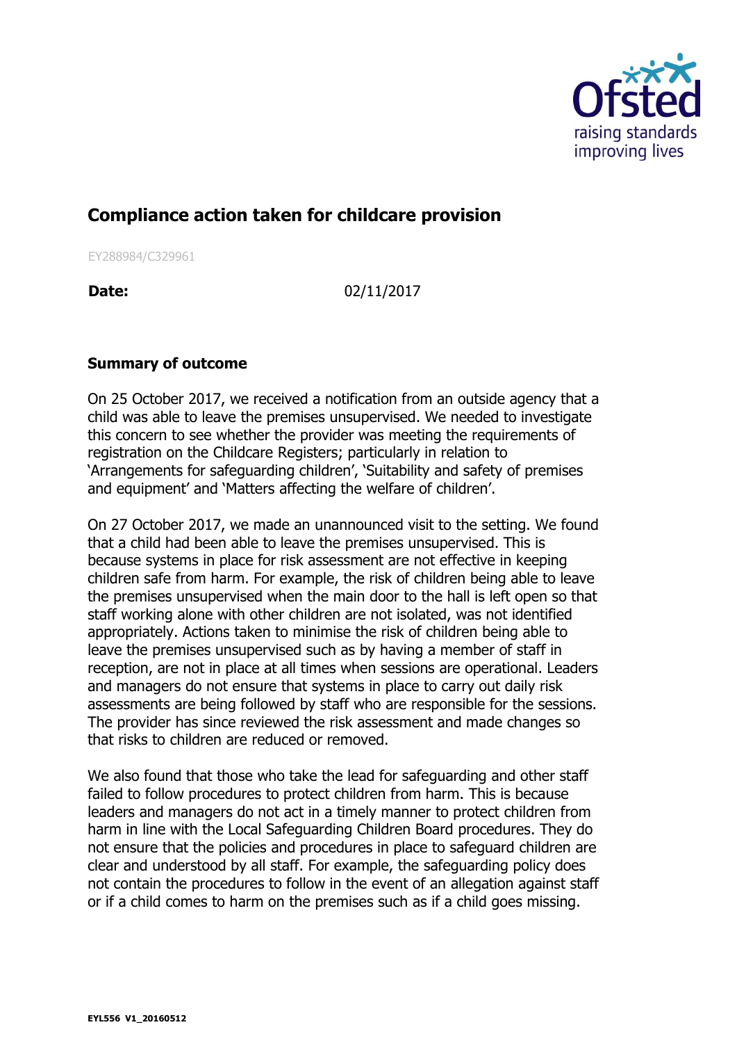

## **Compliance action taken for childcare provision**

EY288984/C329961

**Date:** 02/11/2017

## **Summary of outcome**

On 25 October 2017, we received a notification from an outside agency that a child was able to leave the premises unsupervised. We needed to investigate this concern to see whether the provider was meeting the requirements of registration on the Childcare Registers; particularly in relation to 'Arrangements for safeguarding children', 'Suitability and safety of premises and equipment' and 'Matters affecting the welfare of children'.

On 27 October 2017, we made an unannounced visit to the setting. We found that a child had been able to leave the premises unsupervised. This is because systems in place for risk assessment are not effective in keeping children safe from harm. For example, the risk of children being able to leave the premises unsupervised when the main door to the hall is left open so that staff working alone with other children are not isolated, was not identified appropriately. Actions taken to minimise the risk of children being able to leave the premises unsupervised such as by having a member of staff in reception, are not in place at all times when sessions are operational. Leaders and managers do not ensure that systems in place to carry out daily risk assessments are being followed by staff who are responsible for the sessions. The provider has since reviewed the risk assessment and made changes so that risks to children are reduced or removed.

We also found that those who take the lead for safeguarding and other staff failed to follow procedures to protect children from harm. This is because leaders and managers do not act in a timely manner to protect children from harm in line with the Local Safeguarding Children Board procedures. They do not ensure that the policies and procedures in place to safeguard children are clear and understood by all staff. For example, the safeguarding policy does not contain the procedures to follow in the event of an allegation against staff or if a child comes to harm on the premises such as if a child goes missing.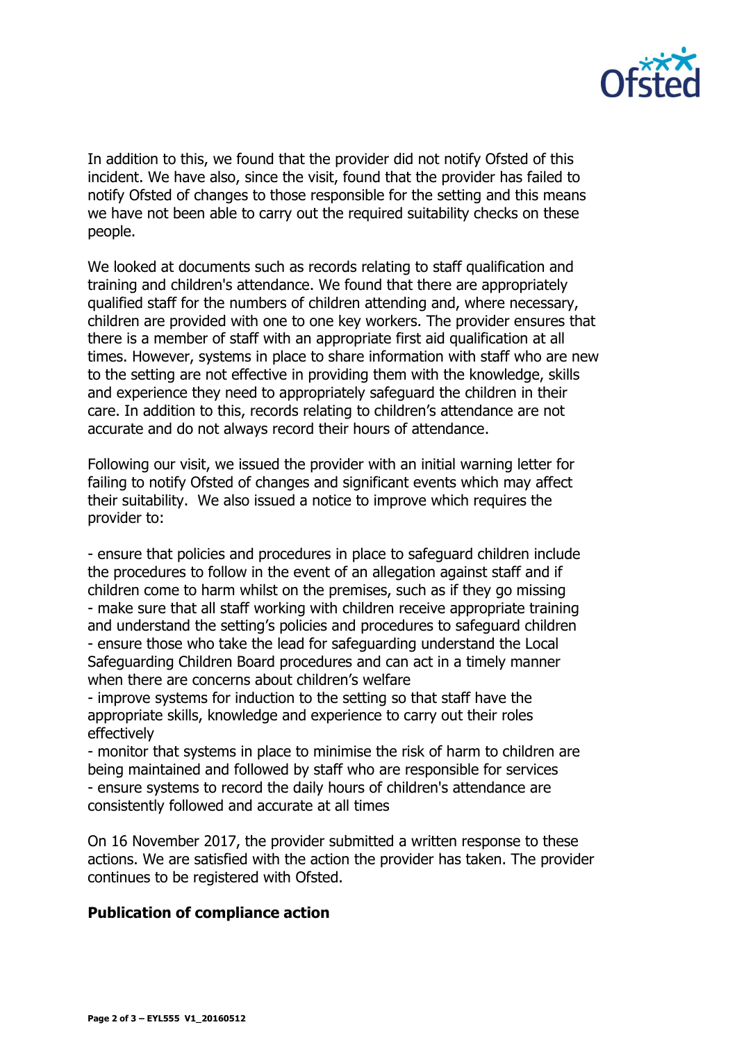

In addition to this, we found that the provider did not notify Ofsted of this incident. We have also, since the visit, found that the provider has failed to notify Ofsted of changes to those responsible for the setting and this means we have not been able to carry out the required suitability checks on these people.

We looked at documents such as records relating to staff qualification and training and children's attendance. We found that there are appropriately qualified staff for the numbers of children attending and, where necessary, children are provided with one to one key workers. The provider ensures that there is a member of staff with an appropriate first aid qualification at all times. However, systems in place to share information with staff who are new to the setting are not effective in providing them with the knowledge, skills and experience they need to appropriately safeguard the children in their care. In addition to this, records relating to children's attendance are not accurate and do not always record their hours of attendance.

Following our visit, we issued the provider with an initial warning letter for failing to notify Ofsted of changes and significant events which may affect their suitability. We also issued a notice to improve which requires the provider to:

- ensure that policies and procedures in place to safeguard children include the procedures to follow in the event of an allegation against staff and if children come to harm whilst on the premises, such as if they go missing - make sure that all staff working with children receive appropriate training and understand the setting's policies and procedures to safeguard children - ensure those who take the lead for safeguarding understand the Local Safeguarding Children Board procedures and can act in a timely manner when there are concerns about children's welfare

- improve systems for induction to the setting so that staff have the appropriate skills, knowledge and experience to carry out their roles effectively

- monitor that systems in place to minimise the risk of harm to children are being maintained and followed by staff who are responsible for services - ensure systems to record the daily hours of children's attendance are consistently followed and accurate at all times

On 16 November 2017, the provider submitted a written response to these actions. We are satisfied with the action the provider has taken. The provider continues to be registered with Ofsted.

## **Publication of compliance action**